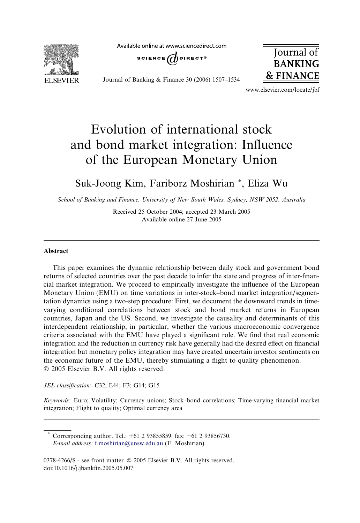**FI SEVIER** 

Available online at www.sciencedirect.com



Journal of Banking & Finance 30 (2006) 1507–1534



www.elsevier.com/locate/jbf

# Evolution of international stock and bond market integration: Influence of the European Monetary Union

### Suk-Joong Kim, Fariborz Moshirian \*, Eliza Wu

School of Banking and Finance, University of New South Wales, Sydney, NSW 2052, Australia

Received 25 October 2004; accepted 23 March 2005 Available online 27 June 2005

#### Abstract

This paper examines the dynamic relationship between daily stock and government bond returns of selected countries over the past decade to infer the state and progress of inter-financial market integration. We proceed to empirically investigate the influence of the European Monetary Union (EMU) on time variations in inter-stock–bond market integration/segmentation dynamics using a two-step procedure: First, we document the downward trends in timevarying conditional correlations between stock and bond market returns in European countries, Japan and the US. Second, we investigate the causality and determinants of this interdependent relationship, in particular, whether the various macroeconomic convergence criteria associated with the EMU have played a significant role. We find that real economic integration and the reduction in currency risk have generally had the desired effect on financial integration but monetary policy integration may have created uncertain investor sentiments on the economic future of the EMU, thereby stimulating a flight to quality phenomenon. © 2005 Elsevier B.V. All rights reserved.

JEL classification: C32; E44; F3; G14; G15

Keywords: Euro; Volatility; Currency unions; Stock–bond correlations; Time-varying financial market integration; Flight to quality; Optimal currency area

Corresponding author. Tel.: +61 2 93855859; fax: +61 2 93856730. E-mail address: [f.moshirian@unsw.edu.au](mailto:f.moshirian@unsw.edu.au) (F. Moshirian).

<sup>0378-4266/\$ -</sup> see front matter © 2005 Elsevier B.V. All rights reserved. doi:10.1016/j.jbankfin.2005.05.007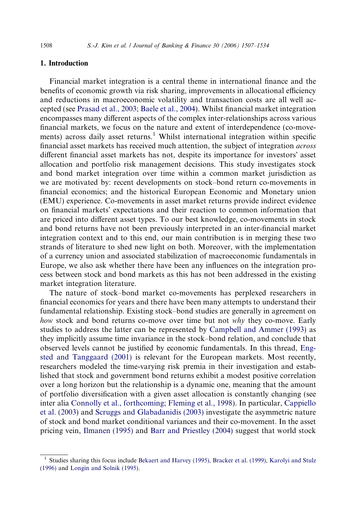#### 1. Introduction

Financial market integration is a central theme in international finance and the benefits of economic growth via risk sharing, improvements in allocational efficiency and reductions in macroeconomic volatility and transaction costs are all well accepted (see [Prasad et al., 2003; Baele et al., 2004\)](#page--1-0). Whilst financial market integration encompasses many different aspects of the complex inter-relationships across various financial markets, we focus on the nature and extent of interdependence (co-movements) across daily asset returns.<sup>1</sup> Whilst international integration within specific financial asset markets has received much attention, the subject of integration across different financial asset markets has not, despite its importance for investors' asset allocation and portfolio risk management decisions. This study investigates stock and bond market integration over time within a common market jurisdiction as we are motivated by: recent developments on stock–bond return co-movements in financial economics; and the historical European Economic and Monetary union (EMU) experience. Co-movements in asset market returns provide indirect evidence on financial markets' expectations and their reaction to common information that are priced into different asset types. To our best knowledge, co-movements in stock and bond returns have not been previously interpreted in an inter-financial market integration context and to this end, our main contribution is in merging these two strands of literature to shed new light on both. Moreover, with the implementation of a currency union and associated stabilization of macroeconomic fundamentals in Europe, we also ask whether there have been any influences on the integration process between stock and bond markets as this has not been addressed in the existing market integration literature.

The nature of stock–bond market co-movements has perplexed researchers in financial economics for years and there have been many attempts to understand their fundamental relationship. Existing stock–bond studies are generally in agreement on how stock and bond returns co-move over time but not why they co-move. Early studies to address the latter can be represented by [Campbell and Ammer \(1993\)](#page--1-0) as they implicitly assume time invariance in the stock–bond relation, and conclude that observed levels cannot be justified by economic fundamentals. In this thread, [Eng](#page--1-0)[sted and Tanggaard \(2001\)](#page--1-0) is relevant for the European markets. Most recently, researchers modeled the time-varying risk premia in their investigation and established that stock and government bond returns exhibit a modest positive correlation over a long horizon but the relationship is a dynamic one, meaning that the amount of portfolio diversification with a given asset allocation is constantly changing (see inter alia [Connolly et al., forthcoming; Fleming et al., 1998](#page--1-0)). In particular, [Cappiello](#page--1-0) [et al. \(2003\)](#page--1-0) and [Scruggs and Glabadanidis \(2003\)](#page--1-0) investigate the asymmetric nature of stock and bond market conditional variances and their co-movement. In the asset pricing vein, [Ilmanen \(1995\)](#page--1-0) and [Barr and Priestley \(2004\)](#page--1-0) suggest that world stock

<sup>&</sup>lt;sup>1</sup> Studies sharing this focus include [Bekaert and Harvey \(1995\)](#page--1-0), [Bracker et al. \(1999\),](#page--1-0) [Karolyi and Stulz](#page--1-0) [\(1996\)](#page--1-0) and [Longin and Solnik \(1995\).](#page--1-0)